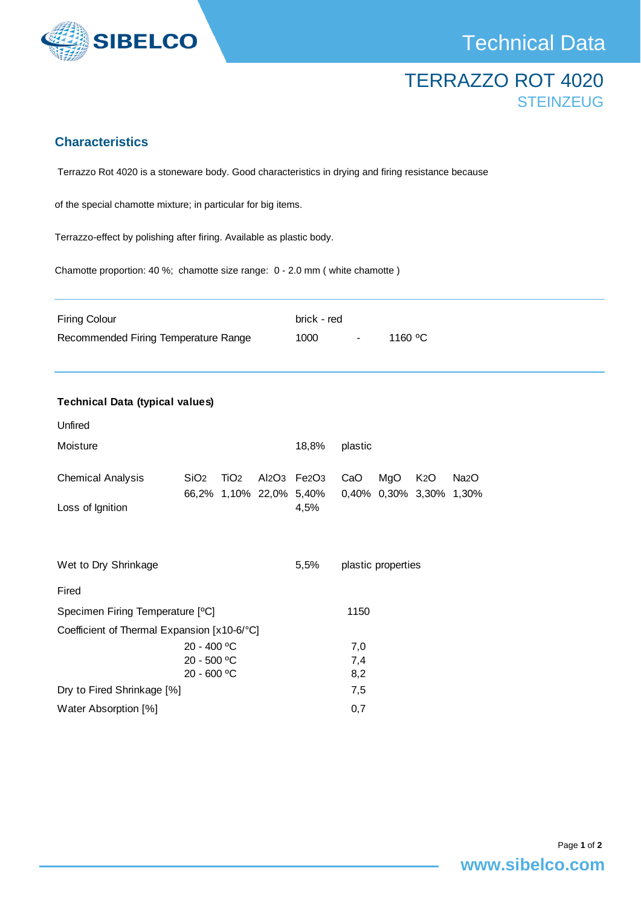

## TERRAZZO ROT 4020 **STEINZEUG**

## **Characteristics**

Terrazzo Rot 4020 is a stoneware body. Good characteristics in drying and firing resistance because

of the special chamotte mixture; in particular for big items.

Terrazzo-effect by polishing after firing. Available as plastic body.

Chamotte proportion: 40 %; chamotte size range: 0 - 2.0 mm ( white chamotte )

| <b>Firing Colour</b>                 | brick - red |                |         |
|--------------------------------------|-------------|----------------|---------|
| Recommended Firing Temperature Range | 1000        | $\sim$ $ \sim$ | 1160 °C |

| <b>Technical Data (typical values)</b>       |                  |                  |      |                                                                        |         |     |                                       |               |  |  |
|----------------------------------------------|------------------|------------------|------|------------------------------------------------------------------------|---------|-----|---------------------------------------|---------------|--|--|
| Unfired                                      |                  |                  |      |                                                                        |         |     |                                       |               |  |  |
| Moisture                                     |                  |                  |      | 18,8%                                                                  | plastic |     |                                       |               |  |  |
| <b>Chemical Analysis</b><br>Loss of Ignition | SiO <sub>2</sub> | TiO <sub>2</sub> |      | Al2O <sub>3</sub> Fe2O <sub>3</sub><br>66,2% 1,10% 22,0% 5,40%<br>4,5% | CaO     | MgO | K <sub>2</sub> O<br>0,40% 0,30% 3,30% | Na2O<br>1,30% |  |  |
|                                              |                  |                  |      |                                                                        |         |     |                                       |               |  |  |
| Wet to Dry Shrinkage                         |                  |                  | 5,5% | plastic properties                                                     |         |     |                                       |               |  |  |
| Fired                                        |                  |                  |      |                                                                        |         |     |                                       |               |  |  |
| Specimen Firing Temperature [°C]             |                  |                  |      | 1150                                                                   |         |     |                                       |               |  |  |
| Coefficient of Thermal Expansion [x10-6/°C]  |                  |                  |      |                                                                        |         |     |                                       |               |  |  |
|                                              | 20 - 400 °C      |                  |      |                                                                        | 7,0     |     |                                       |               |  |  |
|                                              | 20 - 500 °C      |                  |      | 7,4                                                                    |         |     |                                       |               |  |  |
|                                              | 20 - 600 °C      |                  |      |                                                                        | 8,2     |     |                                       |               |  |  |
| Dry to Fired Shrinkage [%]                   |                  |                  | 7,5  |                                                                        |         |     |                                       |               |  |  |
| Water Absorption [%]                         |                  |                  | 0,7  |                                                                        |         |     |                                       |               |  |  |